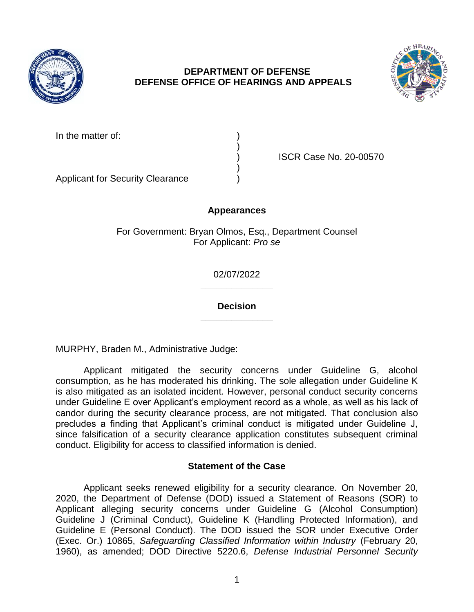

# **DEPARTMENT OF DEFENSE DEFENSE OFFICE OF HEARINGS AND APPEALS**



In the matter of:

) ISCR Case No. 20-00570

Applicant for Security Clearance )

## **Appearances**

)

)

For Government: Bryan Olmos, Esq., Department Counsel For Applicant: *Pro se* 

> **\_\_\_\_\_\_\_\_\_\_\_\_\_\_**  02/07/2022

> **\_\_\_\_\_\_\_\_\_\_\_\_\_\_ Decision**

MURPHY, Braden M., Administrative Judge:

 Applicant mitigated the security concerns under Guideline G, alcohol consumption, as he has moderated his drinking. The sole allegation under Guideline K is also mitigated as an isolated incident. However, personal conduct security concerns under Guideline E over Applicant's employment record as a whole, as well as his lack of candor during the security clearance process, are not mitigated. That conclusion also precludes a finding that Applicant's criminal conduct is mitigated under Guideline J, since falsification of a security clearance application constitutes subsequent criminal conduct. Eligibility for access to classified information is denied.

### **Statement of the Case**

 Applicant seeks renewed eligibility for a security clearance. On November 20, 2020, the Department of Defense (DOD) issued a Statement of Reasons (SOR) to Guideline J (Criminal Conduct), Guideline K (Handling Protected Information), and Guideline E (Personal Conduct). The DOD issued the SOR under Executive Order  (Exec. Or.) 10865, *Safeguarding Classified Information within Industry* (February 20, Applicant alleging security concerns under Guideline G (Alcohol Consumption) 1960), as amended; DOD Directive 5220.6, *Defense Industrial Personnel Security*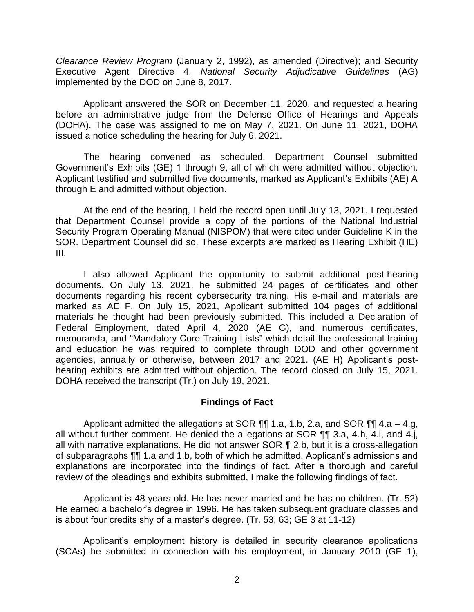*Clearance Review Program* (January 2, 1992), as amended (Directive); and Security Executive Agent Directive 4, *National Security Adjudicative Guidelines* (AG) implemented by the DOD on June 8, 2017.

 Applicant answered the SOR on December 11, 2020, and requested a hearing before an administrative judge from the Defense Office of Hearings and Appeals (DOHA). The case was assigned to me on May 7, 2021. On June 11, 2021, DOHA issued a notice scheduling the hearing for July 6, 2021.

 The hearing convened as scheduled. Department Counsel submitted Government's Exhibits (GE) 1 through 9, all of which were admitted without objection. Applicant testified and submitted five documents, marked as Applicant's Exhibits (AE) A through E and admitted without objection.

 At the end of the hearing, I held the record open until July 13, 2021. I requested that Department Counsel provide a copy of the portions of the National Industrial Security Program Operating Manual (NISPOM) that were cited under Guideline K in the SOR. Department Counsel did so. These excerpts are marked as Hearing Exhibit (HE) III.

 I also allowed Applicant the opportunity to submit additional post-hearing documents. On July 13, 2021, he submitted 24 pages of certificates and other documents regarding his recent cybersecurity training. His e-mail and materials are marked as AE F. On July 15, 2021, Applicant submitted 104 pages of additional materials he thought had been previously submitted. This included a Declaration of Federal Employment, dated April 4, 2020 (AE G), and numerous certificates, memoranda, and "Mandatory Core Training Lists" which detail the professional training and education he was required to complete through DOD and other government agencies, annually or otherwise, between 2017 and 2021. (AE H) Applicant's post- hearing exhibits are admitted without objection. The record closed on July 15, 2021. DOHA received the transcript (Tr.) on July 19, 2021.

### **Findings of Fact**

 Applicant admitted the allegations at SOR ¶¶ 1.a, 1.b, 2.a, and SOR ¶¶ 4.a – 4.g, all without further comment. He denied the allegations at SOR  $\P\P$  3.a, 4.h, 4.i, and 4.j, all with narrative explanations. He did not answer SOR ¶ 2.b, but it is a cross-allegation explanations are incorporated into the findings of fact. After a thorough and careful of subparagraphs ¶¶ 1.a and 1.b, both of which he admitted. Applicant's admissions and review of the pleadings and exhibits submitted, I make the following findings of fact.

 Applicant is 48 years old. He has never married and he has no children. (Tr. 52) He earned a bachelor's degree in 1996. He has taken subsequent graduate classes and is about four credits shy of a master's degree. (Tr. 53, 63; GE 3 at 11-12)

Applicant's employment history is detailed in security clearance applications (SCAs) he submitted in connection with his employment, in January 2010 (GE 1),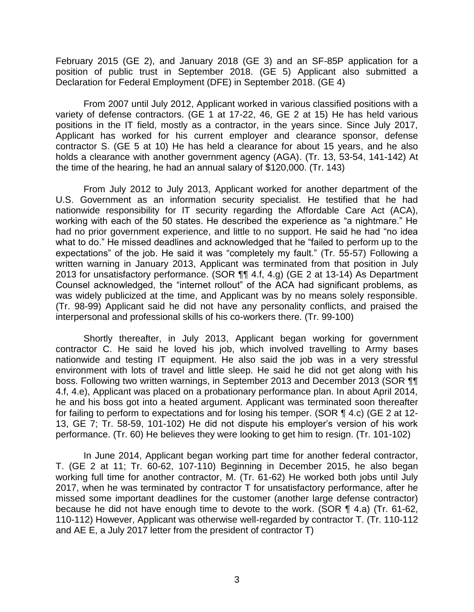February 2015 (GE 2), and January 2018 (GE 3) and an SF-85P application for a position of public trust in September 2018. (GE 5) Applicant also submitted a Declaration for Federal Employment (DFE) in September 2018. (GE 4)

 From 2007 until July 2012, Applicant worked in various classified positions with a variety of defense contractors. (GE 1 at 17-22, 46, GE 2 at 15) He has held various positions in the IT field, mostly as a contractor, in the years since. Since July 2017, Applicant has worked for his current employer and clearance sponsor, defense contractor S. (GE 5 at 10) He has held a clearance for about 15 years, and he also holds a clearance with another government agency (AGA). (Tr. 13, 53-54, 141-142) At the time of the hearing, he had an annual salary of \$120,000. (Tr. 143)

From July 2012 to July 2013, Applicant worked for another department of the U.S. Government as an information security specialist. He testified that he had nationwide responsibility for IT security regarding the Affordable Care Act (ACA), working with each of the 50 states. He described the experience as "a nightmare." He had no prior government experience, and little to no support. He said he had "no idea what to do." He missed deadlines and acknowledged that he "failed to perform up to the expectations" of the job. He said it was "completely my fault." (Tr. 55-57) Following a written warning in January 2013, Applicant was terminated from that position in July 2013 for unsatisfactory performance. (SOR ¶¶ 4.f, 4.g) (GE 2 at 13-14) As Department Counsel acknowledged, the "internet rollout" of the ACA had significant problems, as was widely publicized at the time, and Applicant was by no means solely responsible. (Tr. 98-99) Applicant said he did not have any personality conflicts, and praised the interpersonal and professional skills of his co-workers there. (Tr. 99-100)

Shortly thereafter, in July 2013, Applicant began working for government contractor C. He said he loved his job, which involved travelling to Army bases nationwide and testing IT equipment. He also said the job was in a very stressful environment with lots of travel and little sleep. He said he did not get along with his boss. Following two written warnings, in September 2013 and December 2013 (SOR ¶¶ 4.f, 4.e), Applicant was placed on a probationary performance plan. In about April 2014, he and his boss got into a heated argument. Applicant was terminated soon thereafter for failing to perform to expectations and for losing his temper. (SOR ¶ 4.c) (GE 2 at 12- 13, GE 7; Tr. 58-59, 101-102) He did not dispute his employer's version of his work performance. (Tr. 60) He believes they were looking to get him to resign. (Tr. 101-102)

In June 2014, Applicant began working part time for another federal contractor, T. (GE 2 at 11; Tr. 60-62, 107-110) Beginning in December 2015, he also began working full time for another contractor, M. (Tr. 61-62) He worked both jobs until July 2017, when he was terminated by contractor T for unsatisfactory performance, after he missed some important deadlines for the customer (another large defense contractor) because he did not have enough time to devote to the work. (SOR ¶ 4.a) (Tr. 61-62, 110-112) However, Applicant was otherwise well-regarded by contractor T. (Tr. 110-112 and AE E, a July 2017 letter from the president of contractor T)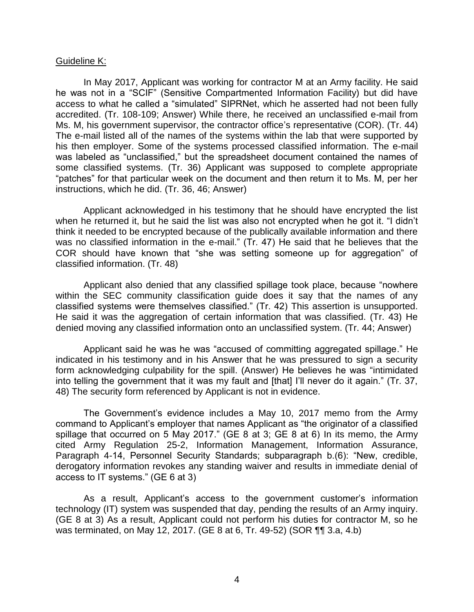#### Guideline K:

 In May 2017, Applicant was working for contractor M at an Army facility. He said he was not in a "SCIF" (Sensitive Compartmented Information Facility) but did have access to what he called a "simulated" SIPRNet, which he asserted had not been fully accredited. (Tr. 108-109; Answer) While there, he received an unclassified e-mail from The e-mail listed all of the names of the systems within the lab that were supported by his then employer. Some of the systems processed classified information. The e-mail was labeled as "unclassified," but the spreadsheet document contained the names of some classified systems. (Tr. 36) Applicant was supposed to complete appropriate "patches" for that particular week on the document and then return it to Ms. M, per her Ms. M, his government supervisor, the contractor office's representative (COR). (Tr. 44) instructions, which he did. (Tr. 36, 46; Answer)

 Applicant acknowledged in his testimony that he should have encrypted the list when he returned it, but he said the list was also not encrypted when he got it. "I didn't think it needed to be encrypted because of the publically available information and there was no classified information in the e-mail." (Tr. 47) He said that he believes that the COR should have known that "she was setting someone up for aggregation" of classified information. (Tr. 48)

 Applicant also denied that any classified spillage took place, because "nowhere within the SEC community classification guide does it say that the names of any classified systems were themselves classified." (Tr. 42) This assertion is unsupported. He said it was the aggregation of certain information that was classified. (Tr. 43) He denied moving any classified information onto an unclassified system. (Tr. 44; Answer)

Applicant said he was he was "accused of committing aggregated spillage." He indicated in his testimony and in his Answer that he was pressured to sign a security form acknowledging culpability for the spill. (Answer) He believes he was "intimidated into telling the government that it was my fault and [that] I'll never do it again." (Tr. 37, 48) The security form referenced by Applicant is not in evidence.

 The Government's evidence includes a May 10, 2017 memo from the Army command to Applicant's employer that names Applicant as "the originator of a classified spillage that occurred on 5 May 2017." (GE 8 at 3; GE 8 at 6) In its memo, the Army cited Army Regulation 25-2, Information Management, Information Assurance, derogatory information revokes any standing waiver and results in immediate denial of Paragraph 4-14, Personnel Security Standards; subparagraph b.(6): "New, credible, access to IT systems." (GE 6 at 3)

 As a result, Applicant's access to the government customer's information technology (IT) system was suspended that day, pending the results of an Army inquiry. (GE 8 at 3) As a result, Applicant could not perform his duties for contractor M, so he was terminated, on May 12, 2017. (GE 8 at 6, Tr. 49-52) (SOR ¶¶ 3.a, 4.b)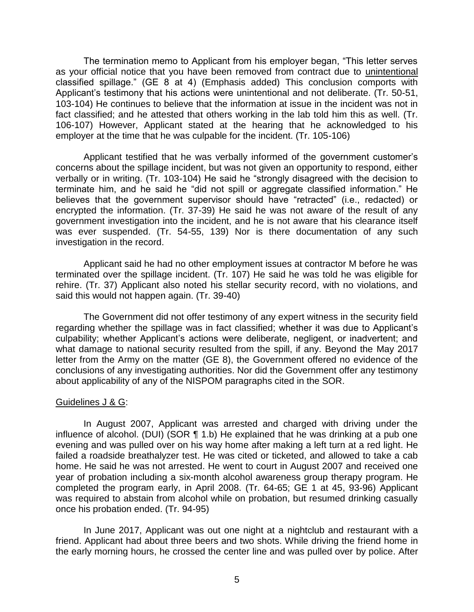The termination memo to Applicant from his employer began, "This letter serves as your official notice that you have been removed from contract due to unintentional classified spillage." (GE 8 at 4) (Emphasis added) This conclusion comports with Applicant's testimony that his actions were unintentional and not deliberate. (Tr. 50-51, 103-104) He continues to believe that the information at issue in the incident was not in fact classified; and he attested that others working in the lab told him this as well. (Tr. 106-107) However, Applicant stated at the hearing that he acknowledged to his employer at the time that he was culpable for the incident. (Tr. 105-106)

 Applicant testified that he was verbally informed of the government customer's concerns about the spillage incident, but was not given an opportunity to respond, either verbally or in writing. (Tr. 103-104) He said he "strongly disagreed with the decision to terminate him, and he said he "did not spill or aggregate classified information." He encrypted the information. (Tr. 37-39) He said he was not aware of the result of any government investigation into the incident, and he is not aware that his clearance itself was ever suspended. (Tr. 54-55, 139) Nor is there documentation of any such believes that the government supervisor should have "retracted" (i.e., redacted) or investigation in the record.

 Applicant said he had no other employment issues at contractor M before he was terminated over the spillage incident. (Tr. 107) He said he was told he was eligible for rehire. (Tr. 37) Applicant also noted his stellar security record, with no violations, and said this would not happen again. (Tr. 39-40)

 The Government did not offer testimony of any expert witness in the security field regarding whether the spillage was in fact classified; whether it was due to Applicant's culpability; whether Applicant's actions were deliberate, negligent, or inadvertent; and what damage to national security resulted from the spill, if any. Beyond the May 2017 letter from the Army on the matter (GE 8), the Government offered no evidence of the conclusions of any investigating authorities. Nor did the Government offer any testimony about applicability of any of the NISPOM paragraphs cited in the SOR.

### Guidelines J & G:

 In August 2007, Applicant was arrested and charged with driving under the influence of alcohol. (DUI) (SOR  $\P$  1.b) He explained that he was drinking at a pub one evening and was pulled over on his way home after making a left turn at a red light. He failed a roadside breathalyzer test. He was cited or ticketed, and allowed to take a cab home. He said he was not arrested. He went to court in August 2007 and received one year of probation including a six-month alcohol awareness group therapy program. He completed the program early, in April 2008. (Tr. 64-65; GE 1 at 45, 93-96) Applicant was required to abstain from alcohol while on probation, but resumed drinking casually once his probation ended. (Tr. 94-95)

 In June 2017, Applicant was out one night at a nightclub and restaurant with a friend. Applicant had about three beers and two shots. While driving the friend home in the early morning hours, he crossed the center line and was pulled over by police. After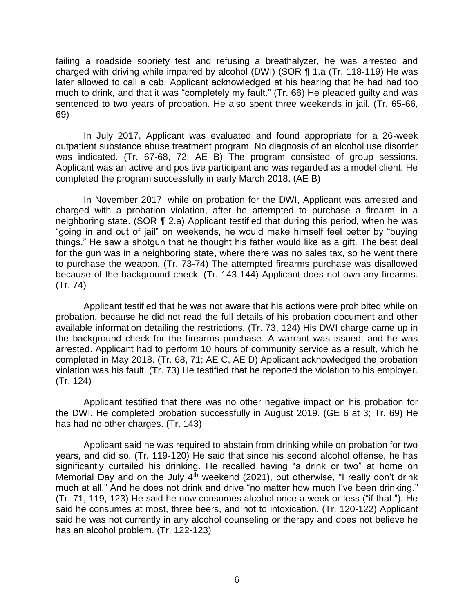failing a roadside sobriety test and refusing a breathalyzer, he was arrested and charged with driving while impaired by alcohol (DWI) (SOR ¶ 1.a (Tr. 118-119) He was later allowed to call a cab. Applicant acknowledged at his hearing that he had had too much to drink, and that it was "completely my fault." (Tr. 66) He pleaded guilty and was sentenced to two years of probation. He also spent three weekends in jail. (Tr. 65-66, 69)

 In July 2017, Applicant was evaluated and found appropriate for a 26-week outpatient substance abuse treatment program. No diagnosis of an alcohol use disorder was indicated. (Tr. 67-68, 72; AE B) The program consisted of group sessions. Applicant was an active and positive participant and was regarded as a model client. He completed the program successfully in early March 2018. (AE B)

 In November 2017, while on probation for the DWI, Applicant was arrested and charged with a probation violation, after he attempted to purchase a firearm in a neighboring state. (SOR ¶ 2.a) Applicant testified that during this period, when he was "going in and out of jail" on weekends, he would make himself feel better by "buying things." He saw a shotgun that he thought his father would like as a gift. The best deal for the gun was in a neighboring state, where there was no sales tax, so he went there to purchase the weapon. (Tr. 73-74) The attempted firearms purchase was disallowed because of the background check. (Tr. 143-144) Applicant does not own any firearms. (Tr. 74)

 Applicant testified that he was not aware that his actions were prohibited while on probation, because he did not read the full details of his probation document and other available information detailing the restrictions. (Tr. 73, 124) His DWI charge came up in the background check for the firearms purchase. A warrant was issued, and he was arrested. Applicant had to perform 10 hours of community service as a result, which he completed in May 2018. (Tr. 68, 71; AE C, AE D) Applicant acknowledged the probation violation was his fault. (Tr. 73) He testified that he reported the violation to his employer. (Tr. 124)

 Applicant testified that there was no other negative impact on his probation for the DWI. He completed probation successfully in August 2019. (GE 6 at 3; Tr. 69) He has had no other charges. (Tr. 143)

Applicant said he was required to abstain from drinking while on probation for two years, and did so. (Tr. 119-120) He said that since his second alcohol offense, he has significantly curtailed his drinking. He recalled having "a drink or two" at home on Memorial Day and on the July  $4<sup>th</sup>$  weekend (2021), but otherwise, "I really don't drink much at all." And he does not drink and drive "no matter how much I've been drinking." (Tr. 71, 119, 123) He said he now consumes alcohol once a week or less ("if that."). He said he consumes at most, three beers, and not to intoxication. (Tr. 120-122) Applicant said he was not currently in any alcohol counseling or therapy and does not believe he has an alcohol problem. (Tr. 122-123)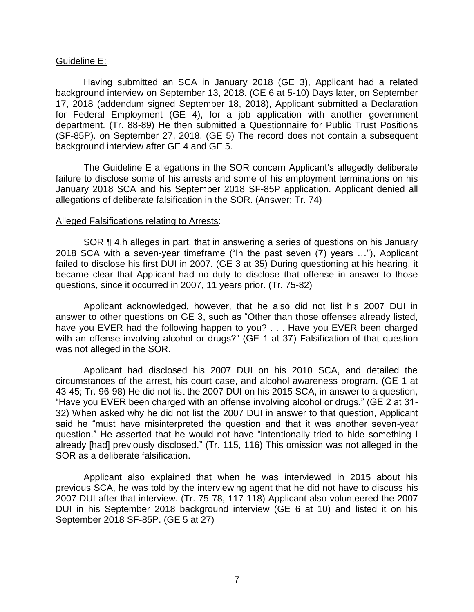#### Guideline E:

 Having submitted an SCA in January 2018 (GE 3), Applicant had a related background interview on September 13, 2018. (GE 6 at 5-10) Days later, on September 17, 2018 (addendum signed September 18, 2018), Applicant submitted a Declaration for Federal Employment (GE 4), for a job application with another government department. (Tr. 88-89) He then submitted a Questionnaire for Public Trust Positions (SF-85P). on September 27, 2018. (GE 5) The record does not contain a subsequent background interview after GE 4 and GE 5.

 The Guideline E allegations in the SOR concern Applicant's allegedly deliberate failure to disclose some of his arrests and some of his employment terminations on his January 2018 SCA and his September 2018 SF-85P application. Applicant denied all allegations of deliberate falsification in the SOR. (Answer; Tr. 74)

#### Alleged Falsifications relating to Arrests:

 SOR ¶ 4.h alleges in part, that in answering a series of questions on his January 2018 SCA with a seven-year timeframe ("In the past seven (7) years …"), Applicant failed to disclose his first DUI in 2007. (GE 3 at 35) During questioning at his hearing, it became clear that Applicant had no duty to disclose that offense in answer to those questions, since it occurred in 2007, 11 years prior. (Tr. 75-82)

 Applicant acknowledged, however, that he also did not list his 2007 DUI in answer to other questions on GE 3, such as "Other than those offenses already listed, have you EVER had the following happen to you? . . . Have you EVER been charged with an offense involving alcohol or drugs?" (GE 1 at 37) Falsification of that question was not alleged in the SOR.

Applicant had disclosed his 2007 DUI on his 2010 SCA, and detailed the circumstances of the arrest, his court case, and alcohol awareness program. (GE 1 at 43-45; Tr. 96-98) He did not list the 2007 DUI on his 2015 SCA, in answer to a question, "Have you EVER been charged with an offense involving alcohol or drugs." (GE 2 at 31- 32) When asked why he did not list the 2007 DUI in answer to that question, Applicant said he "must have misinterpreted the question and that it was another seven-year question." He asserted that he would not have "intentionally tried to hide something I already [had] previously disclosed." (Tr. 115, 116) This omission was not alleged in the SOR as a deliberate falsification.

 Applicant also explained that when he was interviewed in 2015 about his previous SCA, he was told by the interviewing agent that he did not have to discuss his 2007 DUI after that interview. (Tr. 75-78, 117-118) Applicant also volunteered the 2007 DUI in his September 2018 background interview (GE 6 at 10) and listed it on his September 2018 SF-85P. (GE 5 at 27)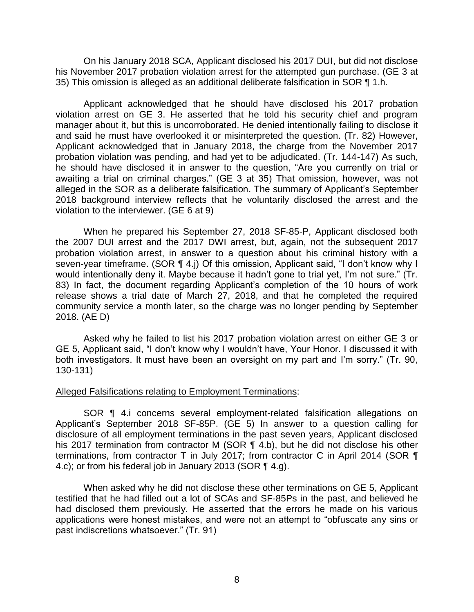On his January 2018 SCA, Applicant disclosed his 2017 DUI, but did not disclose his November 2017 probation violation arrest for the attempted gun purchase. (GE 3 at 35) This omission is alleged as an additional deliberate falsification in SOR ¶ 1.h.

 Applicant acknowledged that he should have disclosed his 2017 probation violation arrest on GE 3. He asserted that he told his security chief and program manager about it, but this is uncorroborated. He denied intentionally failing to disclose it and said he must have overlooked it or misinterpreted the question. (Tr. 82) However, Applicant acknowledged that in January 2018, the charge from the November 2017 probation violation was pending, and had yet to be adjudicated. (Tr. 144-147) As such, he should have disclosed it in answer to the question, "Are you currently on trial or awaiting a trial on criminal charges." (GE 3 at 35) That omission, however, was not alleged in the SOR as a deliberate falsification. The summary of Applicant's September 2018 background interview reflects that he voluntarily disclosed the arrest and the violation to the interviewer. (GE 6 at 9)

When he prepared his September 27, 2018 SF-85-P, Applicant disclosed both the 2007 DUI arrest and the 2017 DWI arrest, but, again, not the subsequent 2017 probation violation arrest, in answer to a question about his criminal history with a seven-year timeframe. (SOR ¶ 4.j) Of this omission, Applicant said, "I don't know why I would intentionally deny it. Maybe because it hadn't gone to trial yet, I'm not sure." (Tr. 83) In fact, the document regarding Applicant's completion of the 10 hours of work release shows a trial date of March 27, 2018, and that he completed the required community service a month later, so the charge was no longer pending by September 2018. (AE D)

 Asked why he failed to list his 2017 probation violation arrest on either GE 3 or GE 5, Applicant said, "I don't know why I wouldn't have, Your Honor. I discussed it with both investigators. It must have been an oversight on my part and I'm sorry." (Tr. 90, 130-131)

### Alleged Falsifications relating to Employment Terminations:

 Applicant's September 2018 SF-85P. (GE 5) In answer to a question calling for disclosure of all employment terminations in the past seven years, Applicant disclosed his 2017 termination from contractor M (SOR ¶ 4.b), but he did not disclose his other terminations, from contractor T in July 2017; from contractor C in April 2014 (SOR ¶ SOR ¶ 4.i concerns several employment-related falsification allegations on 4.c); or from his federal job in January 2013 (SOR ¶ 4.g).

 When asked why he did not disclose these other terminations on GE 5, Applicant testified that he had filled out a lot of SCAs and SF-85Ps in the past, and believed he had disclosed them previously. He asserted that the errors he made on his various applications were honest mistakes, and were not an attempt to "obfuscate any sins or past indiscretions whatsoever." (Tr. 91)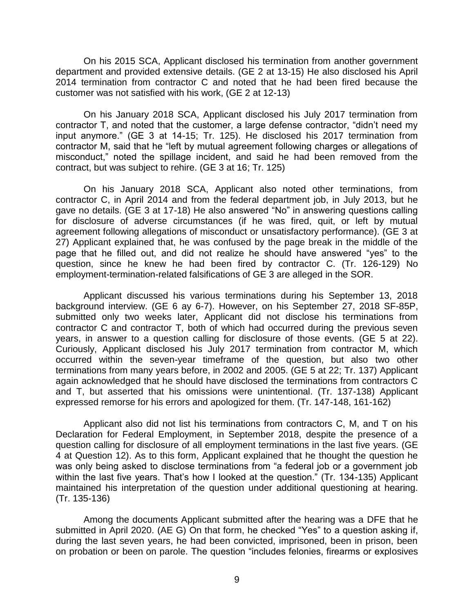On his 2015 SCA, Applicant disclosed his termination from another government department and provided extensive details. (GE 2 at 13-15) He also disclosed his April 2014 termination from contractor C and noted that he had been fired because the customer was not satisfied with his work, (GE 2 at 12-13)

 On his January 2018 SCA, Applicant disclosed his July 2017 termination from contractor T, and noted that the customer, a large defense contractor, "didn't need my input anymore." (GE 3 at 14-15; Tr. 125). He disclosed his 2017 termination from contractor M, said that he "left by mutual agreement following charges or allegations of misconduct," noted the spillage incident, and said he had been removed from the contract, but was subject to rehire. (GE 3 at 16; Tr. 125)

On his January 2018 SCA, Applicant also noted other terminations, from contractor C, in April 2014 and from the federal department job, in July 2013, but he gave no details. (GE 3 at 17-18) He also answered "No" in answering questions calling for disclosure of adverse circumstances (if he was fired, quit, or left by mutual agreement following allegations of misconduct or unsatisfactory performance). (GE 3 at 27) Applicant explained that, he was confused by the page break in the middle of the page that he filled out, and did not realize he should have answered "yes" to the question, since he knew he had been fired by contractor C. (Tr. 126-129) No employment-termination-related falsifications of GE 3 are alleged in the SOR.

 Applicant discussed his various terminations during his September 13, 2018 background interview. (GE 6 ay 6-7). However, on his September 27, 2018 SF-85P, submitted only two weeks later, Applicant did not disclose his terminations from contractor C and contractor T, both of which had occurred during the previous seven years, in answer to a question calling for disclosure of those events. (GE 5 at 22). Curiously, Applicant disclosed his July 2017 termination from contractor M, which occurred within the seven-year timeframe of the question, but also two other terminations from many years before, in 2002 and 2005. (GE 5 at 22; Tr. 137) Applicant again acknowledged that he should have disclosed the terminations from contractors C and T, but asserted that his omissions were unintentional. (Tr. 137-138) Applicant expressed remorse for his errors and apologized for them. (Tr. 147-148, 161-162)

 Applicant also did not list his terminations from contractors C, M, and T on his Declaration for Federal Employment, in September 2018, despite the presence of a question calling for disclosure of all employment terminations in the last five years. (GE 4 at Question 12). As to this form, Applicant explained that he thought the question he was only being asked to disclose terminations from "a federal job or a government job within the last five years. That's how I looked at the question." (Tr. 134-135) Applicant maintained his interpretation of the question under additional questioning at hearing. (Tr. 135-136)

 Among the documents Applicant submitted after the hearing was a DFE that he submitted in April 2020. (AE G) On that form, he checked "Yes" to a question asking if, during the last seven years, he had been convicted, imprisoned, been in prison, been on probation or been on parole. The question "includes felonies, firearms or explosives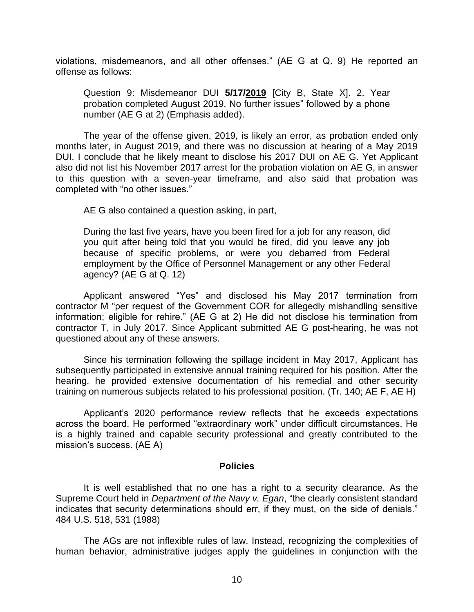violations, misdemeanors, and all other offenses." (AE G at Q. 9) He reported an offense as follows:

Question 9: Misdemeanor DUI 5/17/2019 [City B, State X]. 2. Year<br>probation.completed.August.2019.No.further.jssues".followed.by.a.phone probation completed August 2019. No further issues" followed by a phone number (AE G at 2) (Emphasis added).

The year of the offense given, 2019, is likely an error, as probation ended only months later, in August 2019, and there was no discussion at hearing of a May 2019 DUI. I conclude that he likely meant to disclose his 2017 DUI on AE G. Yet Applicant also did not list his November 2017 arrest for the probation violation on AE G, in answer to this question with a seven-year timeframe, and also said that probation was completed with "no other issues."

AE G also contained a question asking, in part,

 During the last five years, have you been fired for a job for any reason, did you quit after being told that you would be fired, did you leave any job because of specific problems, or were you debarred from Federal employment by the Office of Personnel Management or any other Federal agency? (AE G at Q. 12)

Applicant answered "Yes" and disclosed his May 2017 termination from contractor M "per request of the Government COR for allegedly mishandling sensitive information; eligible for rehire." (AE G at 2) He did not disclose his termination from contractor T, in July 2017. Since Applicant submitted AE G post-hearing, he was not questioned about any of these answers.

 Since his termination following the spillage incident in May 2017, Applicant has subsequently participated in extensive annual training required for his position. After the hearing, he provided extensive documentation of his remedial and other security training on numerous subjects related to his professional position. (Tr. 140; AE F, AE H)

Applicant's 2020 performance review reflects that he exceeds expectations across the board. He performed "extraordinary work" under difficult circumstances. He is a highly trained and capable security professional and greatly contributed to the mission's success. (AE A)

### **Policies**

It is well established that no one has a right to a security clearance. As the Supreme Court held in *Department of the Navy v. Egan*, "the clearly consistent standard indicates that security determinations should err, if they must, on the side of denials." 484 U.S. 518, 531 (1988)

 The AGs are not inflexible rules of law. Instead, recognizing the complexities of human behavior, administrative judges apply the guidelines in conjunction with the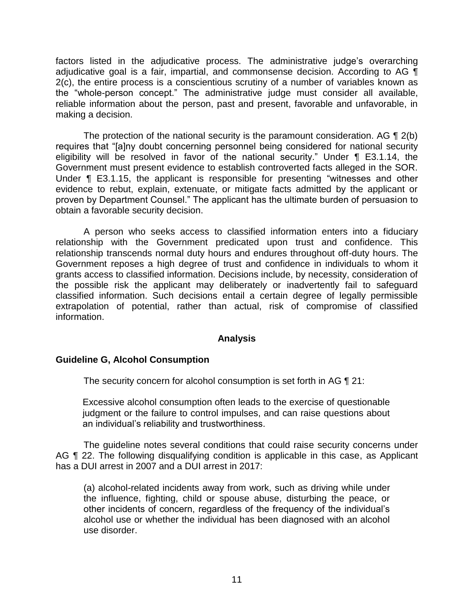factors listed in the adjudicative process. The administrative judge's overarching adjudicative goal is a fair, impartial, and commonsense decision. According to AG  $\P$  2(c), the entire process is a conscientious scrutiny of a number of variables known as reliable information about the person, past and present, favorable and unfavorable, in the "whole-person concept." The administrative judge must consider all available, making a decision.

The protection of the national security is the paramount consideration. AG  $\P$  2(b) eligibility will be resolved in favor of the national security." Under ¶ E3.1.14, the Government must present evidence to establish controverted facts alleged in the SOR. Under ¶ E3.1.15, the applicant is responsible for presenting "witnesses and other evidence to rebut, explain, extenuate, or mitigate facts admitted by the applicant or proven by Department Counsel." The applicant has the ultimate burden of persuasion to requires that "[a]ny doubt concerning personnel being considered for national security obtain a favorable security decision.

 A person who seeks access to classified information enters into a fiduciary relationship with the Government predicated upon trust and confidence. This relationship transcends normal duty hours and endures throughout off-duty hours. The Government reposes a high degree of trust and confidence in individuals to whom it grants access to classified information. Decisions include, by necessity, consideration of the possible risk the applicant may deliberately or inadvertently fail to safeguard classified information. Such decisions entail a certain degree of legally permissible extrapolation of potential, rather than actual, risk of compromise of classified information.

### **Analysis**

### **Guideline G, Alcohol Consumption**

The security concern for alcohol consumption is set forth in AG ¶ 21:

Excessive alcohol consumption often leads to the exercise of questionable judgment or the failure to control impulses, and can raise questions about an individual's reliability and trustworthiness.

 The guideline notes several conditions that could raise security concerns under AG **[1** 22. The following disqualifying condition is applicable in this case, as Applicant has a DUI arrest in 2007 and a DUI arrest in 2017:

(a) alcohol-related incidents away from work, such as driving while under the influence, fighting, child or spouse abuse, disturbing the peace, or other incidents of concern, regardless of the frequency of the individual's alcohol use or whether the individual has been diagnosed with an alcohol use disorder.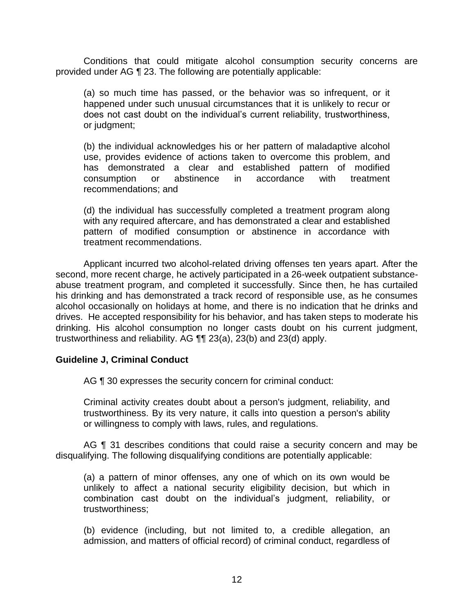Conditions that could mitigate alcohol consumption security concerns are provided under AG ¶ 23. The following are potentially applicable:

(a) so much time has passed, or the behavior was so infrequent, or it happened under such unusual circumstances that it is unlikely to recur or does not cast doubt on the individual's current reliability, trustworthiness, or judgment;

(b) the individual acknowledges his or her pattern of maladaptive alcohol use, provides evidence of actions taken to overcome this problem, and has demonstrated a clear and established pattern of modified consumption or abstinence in accordance with treatment recommendations; and

(d) the individual has successfully completed a treatment program along with any required aftercare, and has demonstrated a clear and established pattern of modified consumption or abstinence in accordance with treatment recommendations.

 Applicant incurred two alcohol-related driving offenses ten years apart. After the abuse treatment program, and completed it successfully. Since then, he has curtailed his drinking and has demonstrated a track record of responsible use, as he consumes alcohol occasionally on holidays at home, and there is no indication that he drinks and drinking. His alcohol consumption no longer casts doubt on his current judgment, second, more recent charge, he actively participated in a 26-week outpatient substancedrives. He accepted responsibility for his behavior, and has taken steps to moderate his trustworthiness and reliability. AG ¶¶ 23(a), 23(b) and 23(d) apply.

### **Guideline J, Criminal Conduct**

AG ¶ 30 expresses the security concern for criminal conduct:

 Criminal activity creates doubt about a person's judgment, reliability, and trustworthiness. By its very nature, it calls into question a person's ability or willingness to comply with laws, rules, and regulations.

AG ¶ 31 describes conditions that could raise a security concern and may be disqualifying. The following disqualifying conditions are potentially applicable:

 (a) a pattern of minor offenses, any one of which on its own would be unlikely to affect a national security eligibility decision, but which in combination cast doubt on the individual's judgment, reliability, or trustworthiness;

 (b) evidence (including, but not limited to, a credible allegation, an admission, and matters of official record) of criminal conduct, regardless of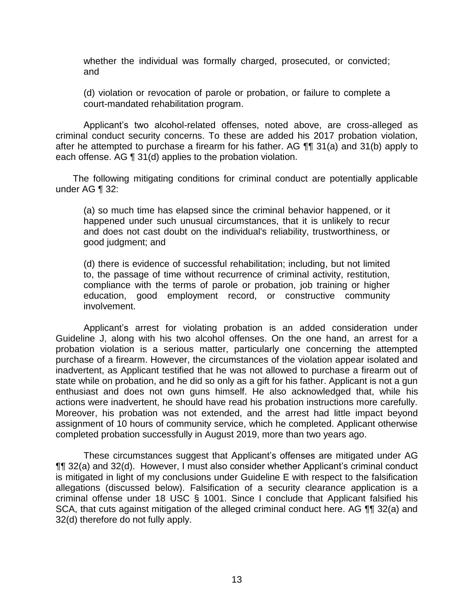whether the individual was formally charged, prosecuted, or convicted; and

 (d) violation or revocation of parole or probation, or failure to complete a court-mandated rehabilitation program.

 criminal conduct security concerns. To these are added his 2017 probation violation, after he attempted to purchase a firearm for his father. AG ¶¶ 31(a) and 31(b) apply to Applicant's two alcohol-related offenses, noted above, are cross-alleged as each offense. AG ¶ 31(d) applies to the probation violation.

 The following mitigating conditions for criminal conduct are potentially applicable under AG ¶ 32:

 (a) so much time has elapsed since the criminal behavior happened, or it happened under such unusual circumstances, that it is unlikely to recur and does not cast doubt on the individual's reliability, trustworthiness, or good judgment; and

 (d) there is evidence of successful rehabilitation; including, but not limited to, the passage of time without recurrence of criminal activity, restitution, compliance with the terms of parole or probation, job training or higher education, good employment record, or constructive community involvement.

 Applicant's arrest for violating probation is an added consideration under Guideline J, along with his two alcohol offenses. On the one hand, an arrest for a probation violation is a serious matter, particularly one concerning the attempted purchase of a firearm. However, the circumstances of the violation appear isolated and inadvertent, as Applicant testified that he was not allowed to purchase a firearm out of enthusiast and does not own guns himself. He also acknowledged that, while his actions were inadvertent, he should have read his probation instructions more carefully. Moreover, his probation was not extended, and the arrest had little impact beyond assignment of 10 hours of community service, which he completed. Applicant otherwise state while on probation, and he did so only as a gift for his father. Applicant is not a gun completed probation successfully in August 2019, more than two years ago.

 ¶¶ 32(a) and 32(d). However, I must also consider whether Applicant's criminal conduct is mitigated in light of my conclusions under Guideline E with respect to the falsification allegations (discussed below). Falsification of a security clearance application is a criminal offense under 18 USC § 1001. Since I conclude that Applicant falsified his SCA, that cuts against mitigation of the alleged criminal conduct here. AG ¶¶ 32(a) and These circumstances suggest that Applicant's offenses are mitigated under AG 32(d) therefore do not fully apply.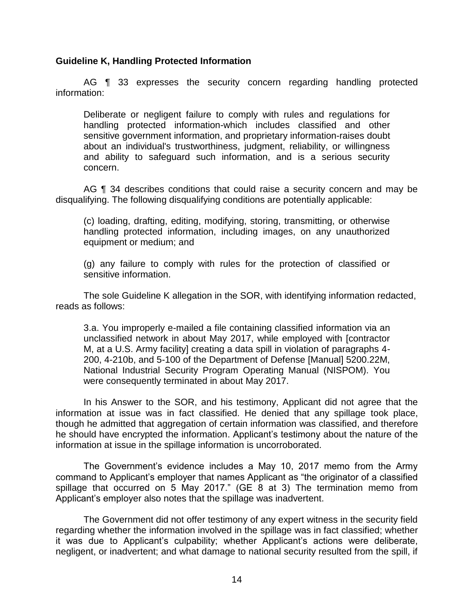### **Guideline K, Handling Protected Information**

AG ¶ 33 expresses the security concern regarding handling protected information:

 Deliberate or negligent failure to comply with rules and regulations for handling protected information-which includes classified and other sensitive government information, and proprietary information-raises doubt and ability to safeguard such information, and is a serious security about an individual's trustworthiness, judgment, reliability, or willingness concern.

AG ¶ 34 describes conditions that could raise a security concern and may be disqualifying. The following disqualifying conditions are potentially applicable:

 handling protected information, including images, on any unauthorized (c) loading, drafting, editing, modifying, storing, transmitting, or otherwise equipment or medium; and

 (g) any failure to comply with rules for the protection of classified or sensitive information.

The sole Guideline K allegation in the SOR, with identifying information redacted, reads as follows:

3.a. You improperly e-mailed a file containing classified information via an unclassified network in about May 2017, while employed with [contractor M, at a U.S. Army facility] creating a data spill in violation of paragraphs 4- 200, 4-210b, and 5-100 of the Department of Defense [Manual] 5200.22M, National Industrial Security Program Operating Manual (NISPOM). You were consequently terminated in about May 2017.

 In his Answer to the SOR, and his testimony, Applicant did not agree that the information at issue was in fact classified. He denied that any spillage took place, though he admitted that aggregation of certain information was classified, and therefore he should have encrypted the information. Applicant's testimony about the nature of the information at issue in the spillage information is uncorroborated.

 The Government's evidence includes a May 10, 2017 memo from the Army command to Applicant's employer that names Applicant as "the originator of a classified spillage that occurred on 5 May 2017." (GE 8 at 3) The termination memo from Applicant's employer also notes that the spillage was inadvertent.

The Government did not offer testimony of any expert witness in the security field regarding whether the information involved in the spillage was in fact classified; whether it was due to Applicant's culpability; whether Applicant's actions were deliberate, negligent, or inadvertent; and what damage to national security resulted from the spill, if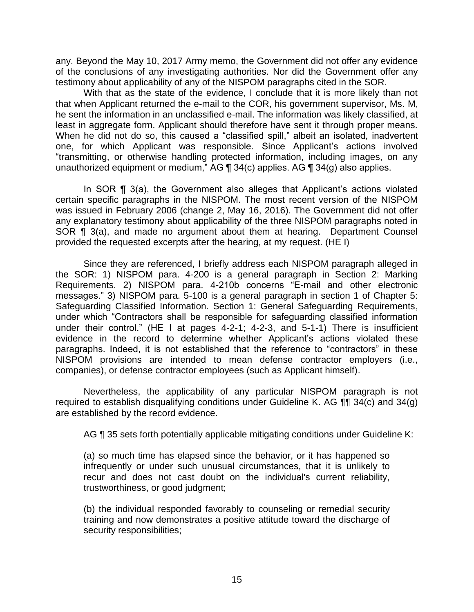any. Beyond the May 10, 2017 Army memo, the Government did not offer any evidence of the conclusions of any investigating authorities. Nor did the Government offer any testimony about applicability of any of the NISPOM paragraphs cited in the SOR.

 With that as the state of the evidence, I conclude that it is more likely than not that when Applicant returned the e-mail to the COR, his government supervisor, Ms. M, least in aggregate form. Applicant should therefore have sent it through proper means. When he did not do so, this caused a "classified spill," albeit an isolated, inadvertent one, for which Applicant was responsible. Since Applicant's actions involved "transmitting, or otherwise handling protected information, including images, on any he sent the information in an unclassified e-mail. The information was likely classified, at unauthorized equipment or medium," AG ¶ 34(c) applies. AG ¶ 34(g) also applies.

 In SOR ¶ 3(a), the Government also alleges that Applicant's actions violated certain specific paragraphs in the NISPOM. The most recent version of the NISPOM was issued in February 2006 (change 2, May 16, 2016). The Government did not offer any explanatory testimony about applicability of the three NISPOM paragraphs noted in SOR ¶ 3(a), and made no argument about them at hearing. Department Counsel provided the requested excerpts after the hearing, at my request. (HE I)

 Since they are referenced, I briefly address each NISPOM paragraph alleged in the SOR: 1) NISPOM para. 4-200 is a general paragraph in Section 2: Marking Requirements. 2) NISPOM para. 4-210b concerns "E-mail and other electronic messages." 3) NISPOM para. 5-100 is a general paragraph in section 1 of Chapter 5: Safeguarding Classified Information. Section 1: General Safeguarding Requirements, under which "Contractors shall be responsible for safeguarding classified information under their control." (HE I at pages 4-2-1; 4-2-3, and 5-1-1) There is insufficient evidence in the record to determine whether Applicant's actions violated these paragraphs. Indeed, it is not established that the reference to "contractors" in these NISPOM provisions are intended to mean defense contractor employers (i.e., companies), or defense contractor employees (such as Applicant himself).

 Nevertheless, the applicability of any particular NISPOM paragraph is not required to establish disqualifying conditions under Guideline K. AG  $\P\P$  34(c) and 34(g) are established by the record evidence.

AG ¶ 35 sets forth potentially applicable mitigating conditions under Guideline K:

 (a) so much time has elapsed since the behavior, or it has happened so infrequently or under such unusual circumstances, that it is unlikely to recur and does not cast doubt on the individual's current reliability, trustworthiness, or good judgment;

 (b) the individual responded favorably to counseling or remedial security training and now demonstrates a positive attitude toward the discharge of security responsibilities;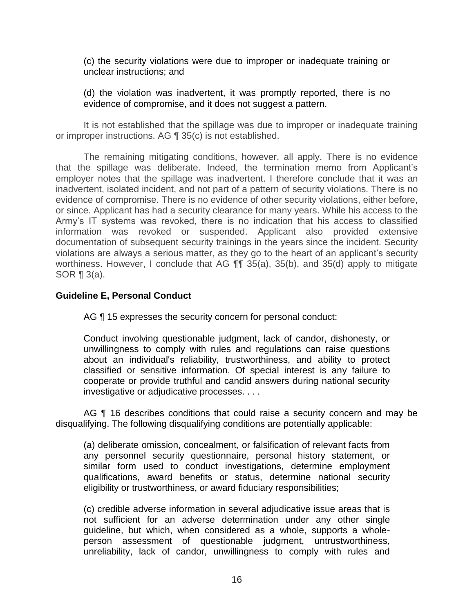(c) the security violations were due to improper or inadequate training or unclear instructions; and

 (d) the violation was inadvertent, it was promptly reported, there is no evidence of compromise, and it does not suggest a pattern.

 It is not established that the spillage was due to improper or inadequate training or improper instructions. AG ¶ 35(c) is not established.

 The remaining mitigating conditions, however, all apply. There is no evidence that the spillage was deliberate. Indeed, the termination memo from Applicant's employer notes that the spillage was inadvertent. I therefore conclude that it was an inadvertent, isolated incident, and not part of a pattern of security violations. There is no or since. Applicant has had a security clearance for many years. While his access to the Army's IT systems was revoked, there is no indication that his access to classified documentation of subsequent security trainings in the years since the incident. Security violations are always a serious matter, as they go to the heart of an applicant's security worthiness. However, I conclude that AG ¶¶ 35(a), 35(b), and 35(d) apply to mitigate evidence of compromise. There is no evidence of other security violations, either before, information was revoked or suspended. Applicant also provided extensive SOR ¶ 3(a).

## **Guideline E, Personal Conduct**

AG ¶ 15 expresses the security concern for personal conduct:

 Conduct involving questionable judgment, lack of candor, dishonesty, or unwillingness to comply with rules and regulations can raise questions about an individual's reliability, trustworthiness, and ability to protect classified or sensitive information. Of special interest is any failure to cooperate or provide truthful and candid answers during national security investigative or adjudicative processes. . . .

AG ¶ 16 describes conditions that could raise a security concern and may be disqualifying. The following disqualifying conditions are potentially applicable:

 any personnel security questionnaire, personal history statement, or similar form used to conduct investigations, determine employment qualifications, award benefits or status, determine national security (a) deliberate omission, concealment, or falsification of relevant facts from eligibility or trustworthiness, or award fiduciary responsibilities;

 (c) credible adverse information in several adjudicative issue areas that is guideline, but which, when considered as a whole, supports a whole- person assessment of questionable judgment, untrustworthiness, unreliability, lack of candor, unwillingness to comply with rules and not sufficient for an adverse determination under any other single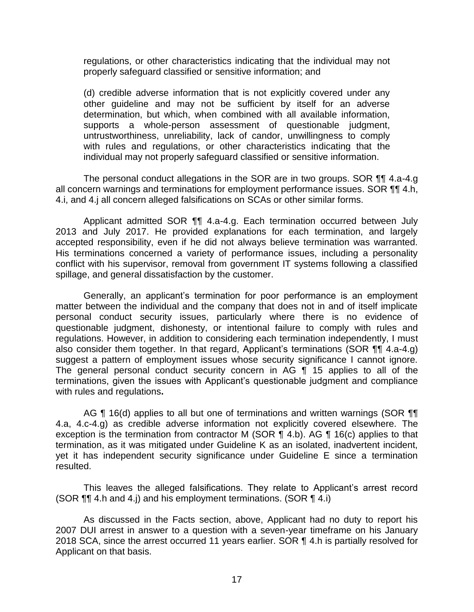regulations, or other characteristics indicating that the individual may not properly safeguard classified or sensitive information; and

 (d) credible adverse information that is not explicitly covered under any other guideline and may not be sufficient by itself for an adverse determination, but which, when combined with all available information, untrustworthiness, unreliability, lack of candor, unwillingness to comply with rules and regulations, or other characteristics indicating that the supports a whole-person assessment of questionable judgment, individual may not properly safeguard classified or sensitive information.

The personal conduct allegations in the SOR are in two groups. SOR 11 4.a-4.g all concern warnings and terminations for employment performance issues. SOR ¶¶ 4.h, 4.i, and 4.j all concern alleged falsifications on SCAs or other similar forms.

 Applicant admitted SOR ¶¶ 4.a-4.g. Each termination occurred between July 2013 and July 2017. He provided explanations for each termination, and largely accepted responsibility, even if he did not always believe termination was warranted. His terminations concerned a variety of performance issues, including a personality conflict with his supervisor, removal from government IT systems following a classified spillage, and general dissatisfaction by the customer.

 Generally, an applicant's termination for poor performance is an employment matter between the individual and the company that does not in and of itself implicate questionable judgment, dishonesty, or intentional failure to comply with rules and regulations. However, in addition to considering each termination independently, I must also consider them together. In that regard, Applicant's terminations (SOR ¶¶ 4.a-4.g) suggest a pattern of employment issues whose security significance I cannot ignore. terminations, given the issues with Applicant's questionable judgment and compliance personal conduct security issues, particularly where there is no evidence of The general personal conduct security concern in AG ¶ 15 applies to all of the with rules and regulations**.** 

AG ¶ 16(d) applies to all but one of terminations and written warnings (SOR ¶¶ 4.a, 4.c-4.g) as credible adverse information not explicitly covered elsewhere. The exception is the termination from contractor M (SOR  $\P$  4.b). AG  $\P$  16(c) applies to that termination, as it was mitigated under Guideline K as an isolated, inadvertent incident, yet it has independent security significance under Guideline E since a termination resulted.

 This leaves the alleged falsifications. They relate to Applicant's arrest record (SOR ¶¶ 4.h and 4.j) and his employment terminations. (SOR ¶ 4.i)

 As discussed in the Facts section, above, Applicant had no duty to report his 2007 DUI arrest in answer to a question with a seven-year timeframe on his January 2018 SCA, since the arrest occurred 11 years earlier. SOR ¶ 4.h is partially resolved for Applicant on that basis.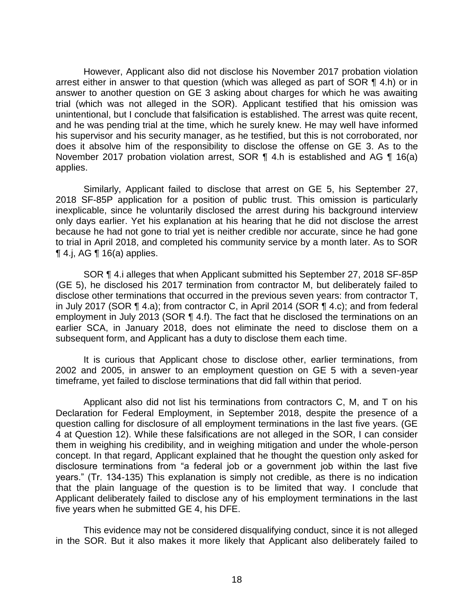However, Applicant also did not disclose his November 2017 probation violation arrest either in answer to that question (which was alleged as part of SOR ¶ 4.h) or in answer to another question on GE 3 asking about charges for which he was awaiting trial (which was not alleged in the SOR). Applicant testified that his omission was unintentional, but I conclude that falsification is established. The arrest was quite recent, and he was pending trial at the time, which he surely knew. He may well have informed his supervisor and his security manager, as he testified, but this is not corroborated, nor does it absolve him of the responsibility to disclose the offense on GE 3. As to the November 2017 probation violation arrest, SOR ¶ 4.h is established and AG ¶ 16(a) applies.

 Similarly, Applicant failed to disclose that arrest on GE 5, his September 27, 2018 SF-85P application for a position of public trust. This omission is particularly inexplicable, since he voluntarily disclosed the arrest during his background interview only days earlier. Yet his explanation at his hearing that he did not disclose the arrest because he had not gone to trial yet is neither credible nor accurate, since he had gone to trial in April 2018, and completed his community service by a month later. As to SOR  $\P$  4.j, AG  $\P$  16(a) applies.

 (GE 5), he disclosed his 2017 termination from contractor M, but deliberately failed to disclose other terminations that occurred in the previous seven years: from contractor T, in July 2017 (SOR ¶ 4.a); from contractor C, in April 2014 (SOR ¶ 4.c); and from federal employment in July 2013 (SOR ¶ 4.f). The fact that he disclosed the terminations on an earlier SCA, in January 2018, does not eliminate the need to disclose them on a SOR ¶ 4.i alleges that when Applicant submitted his September 27, 2018 SF-85P subsequent form, and Applicant has a duty to disclose them each time.

 It is curious that Applicant chose to disclose other, earlier terminations, from 2002 and 2005, in answer to an employment question on GE 5 with a seven-year timeframe, yet failed to disclose terminations that did fall within that period.

 Applicant also did not list his terminations from contractors C, M, and T on his Declaration for Federal Employment, in September 2018, despite the presence of a question calling for disclosure of all employment terminations in the last five years. (GE 4 at Question 12). While these falsifications are not alleged in the SOR, I can consider them in weighing his credibility, and in weighing mitigation and under the whole-person concept. In that regard, Applicant explained that he thought the question only asked for disclosure terminations from "a federal job or a government job within the last five years." (Tr. 134-135) This explanation is simply not credible, as there is no indication that the plain language of the question is to be limited that way. I conclude that Applicant deliberately failed to disclose any of his employment terminations in the last five years when he submitted GE 4, his DFE.

 in the SOR. But it also makes it more likely that Applicant also deliberately failed to This evidence may not be considered disqualifying conduct, since it is not alleged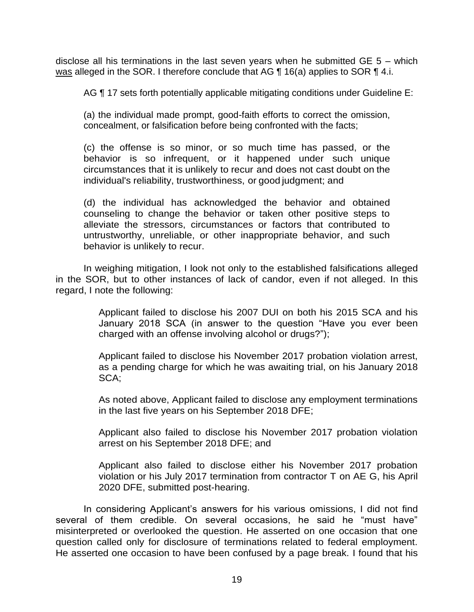<u>was</u> alleged in the SOR. I therefore conclude that AG  $\P$  16(a) applies to SOR  $\P$  4.i. disclose all his terminations in the last seven years when he submitted GE 5 – which

AG ¶ 17 sets forth potentially applicable mitigating conditions under Guideline E:

 (a) the individual made prompt, good-faith efforts to correct the omission, concealment, or falsification before being confronted with the facts;

(c) the offense is so minor, or so much time has passed, or the behavior is so infrequent, or it happened under such unique circumstances that it is unlikely to recur and does not cast doubt on the individual's reliability, trustworthiness, or good judgment; and

 (d) the individual has acknowledged the behavior and obtained counseling to change the behavior or taken other positive steps to alleviate the stressors, circumstances or factors that contributed to untrustworthy, unreliable, or other inappropriate behavior, and such behavior is unlikely to recur.

 in the SOR, but to other instances of lack of candor, even if not alleged. In this In weighing mitigation, I look not only to the established falsifications alleged regard, I note the following:

> Applicant failed to disclose his 2007 DUI on both his 2015 SCA and his January 2018 SCA (in answer to the question "Have you ever been charged with an offense involving alcohol or drugs?");

> Applicant failed to disclose his November 2017 probation violation arrest, as a pending charge for which he was awaiting trial, on his January 2018 SCA;

> As noted above, Applicant failed to disclose any employment terminations in the last five years on his September 2018 DFE;

> Applicant also failed to disclose his November 2017 probation violation arrest on his September 2018 DFE; and

> Applicant also failed to disclose either his November 2017 probation violation or his July 2017 termination from contractor T on AE G, his April 2020 DFE, submitted post-hearing.

In considering Applicant's answers for his various omissions, I did not find several of them credible. On several occasions, he said he "must have" misinterpreted or overlooked the question. He asserted on one occasion that one question called only for disclosure of terminations related to federal employment. He asserted one occasion to have been confused by a page break. I found that his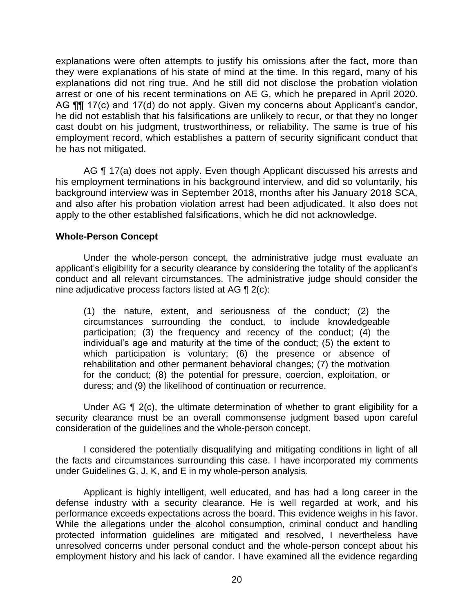explanations were often attempts to justify his omissions after the fact, more than they were explanations of his state of mind at the time. In this regard, many of his explanations did not ring true. And he still did not disclose the probation violation arrest or one of his recent terminations on AE G, which he prepared in April 2020. AG **[1]** 17(c) and 17(d) do not apply. Given my concerns about Applicant's candor, he did not establish that his falsifications are unlikely to recur, or that they no longer cast doubt on his judgment, trustworthiness, or reliability. The same is true of his employment record, which establishes a pattern of security significant conduct that he has not mitigated.

AG ¶ 17(a) does not apply. Even though Applicant discussed his arrests and background interview was in September 2018, months after his January 2018 SCA, and also after his probation violation arrest had been adjudicated. It also does not his employment terminations in his background interview, and did so voluntarily, his apply to the other established falsifications, which he did not acknowledge.

### **Whole-Person Concept**

Under the whole-person concept, the administrative judge must evaluate an applicant's eligibility for a security clearance by considering the totality of the applicant's conduct and all relevant circumstances. The administrative judge should consider the nine adjudicative process factors listed at AG ¶ 2(c):

(1) the nature, extent, and seriousness of the conduct; (2) the circumstances surrounding the conduct, to include knowledgeable participation; (3) the frequency and recency of the conduct; (4) the individual's age and maturity at the time of the conduct; (5) the extent to which participation is voluntary; (6) the presence or absence of rehabilitation and other permanent behavioral changes; (7) the motivation for the conduct; (8) the potential for pressure, coercion, exploitation, or duress; and (9) the likelihood of continuation or recurrence.

Under AG  $\P$  2(c), the ultimate determination of whether to grant eligibility for a security clearance must be an overall commonsense judgment based upon careful consideration of the guidelines and the whole-person concept.

 I considered the potentially disqualifying and mitigating conditions in light of all the facts and circumstances surrounding this case. I have incorporated my comments under Guidelines G, J, K, and E in my whole-person analysis.

 Applicant is highly intelligent, well educated, and has had a long career in the defense industry with a security clearance. He is well regarded at work, and his While the allegations under the alcohol consumption, criminal conduct and handling protected information guidelines are mitigated and resolved, I nevertheless have unresolved concerns under personal conduct and the whole-person concept about his employment history and his lack of candor. I have examined all the evidence regarding performance exceeds expectations across the board. This evidence weighs in his favor.